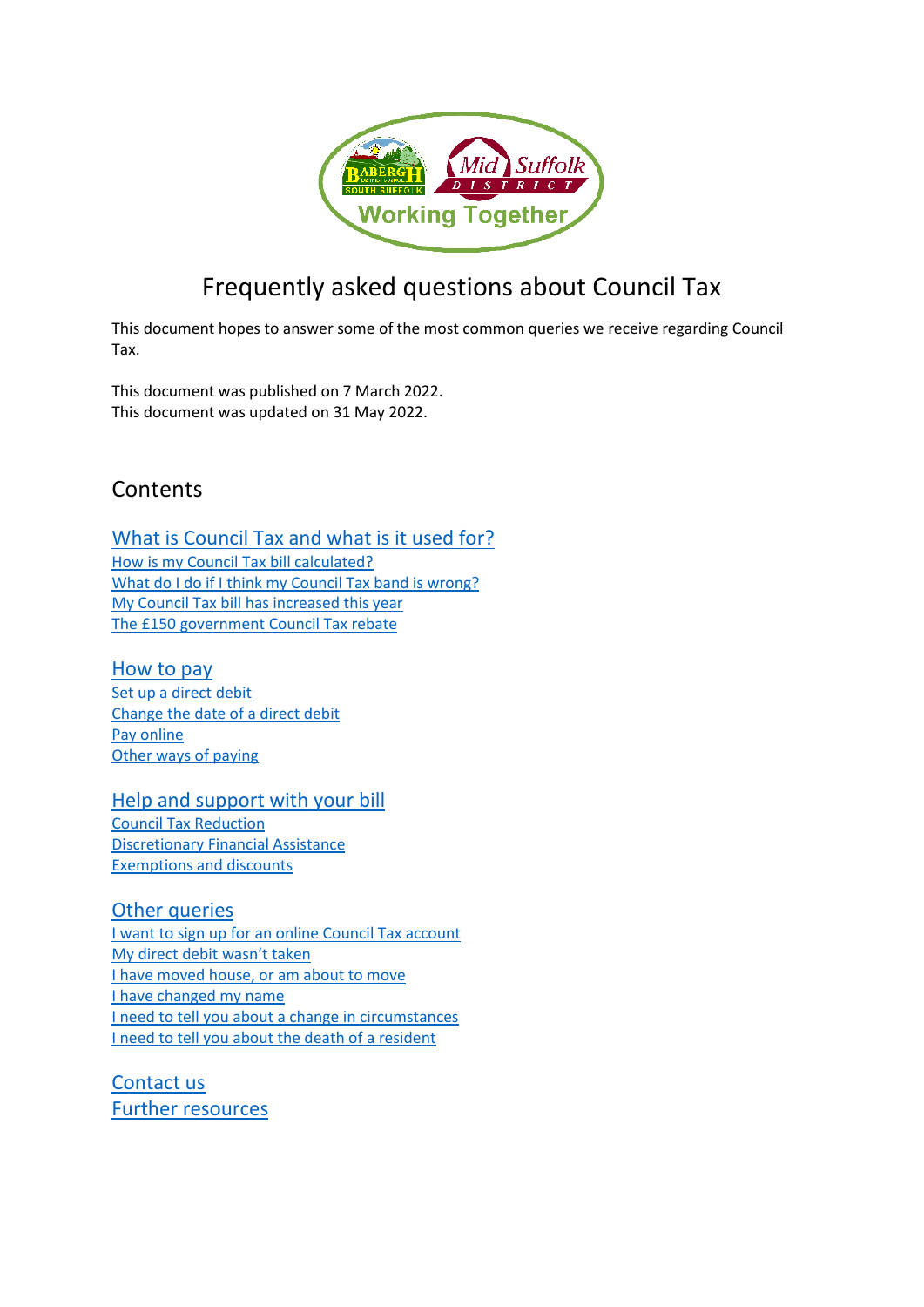

# Frequently asked questions about Council Tax

This document hopes to answer some of the most common queries we receive regarding Council Tax.

This document was published on 7 March 2022. This document was updated on 31 May 2022.

## **Contents**

[What is Council Tax and what is it used for?](#page-0-0) [How is my Council Tax bill calculated?](#page-1-0) [What do I do if I think my Council Tax band is wrong?](#page-2-0)

[My Council Tax bill has increased this year](#page-2-1) [The £150 government Council Tax rebate](#page-3-0)

### [How to pay](#page-3-1)

[Set up a direct debit](#page-4-0) [Change the date of a direct debit](#page-4-1) [Pay online](#page-4-2) [Other ways of paying](#page-4-3)

### [Help and support with your bill](#page-5-0)

[Council Tax Reduction](#page-5-1) [Discretionary Financial Assistance](#page-5-2) [Exemptions and discounts](#page-6-0)

## [Other queries](#page-6-1)

[I want to sign up for an online Council Tax account](#page-6-2) [My direct debit wasn't taken](#page-7-0) [I have moved house, or am about to move](#page-7-1) [I have changed my name](#page-8-0) [I need to tell you about a change in circumstances](#page-8-1) [I need to tell you about the death of a resident](#page-9-0)

<span id="page-0-0"></span>[Contact us](#page-9-1) [Further resources](#page-10-0)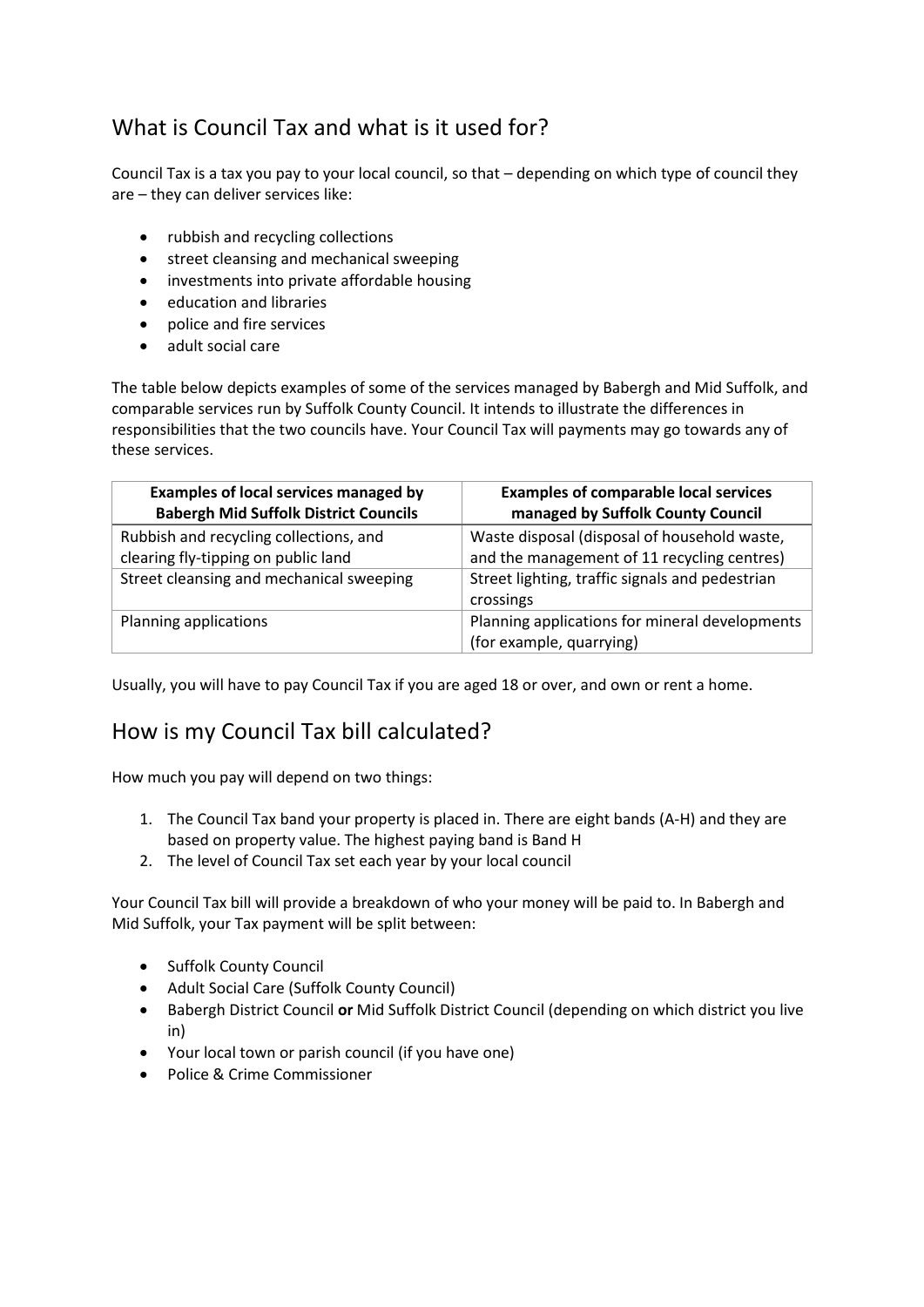## What is Council Tax and what is it used for?

Council Tax is a tax you pay to your local council, so that – depending on which type of council they are – they can deliver services like:

- rubbish and recycling collections
- street cleansing and mechanical sweeping
- investments into private affordable housing
- education and libraries
- police and fire services
- adult social care

The table below depicts examples of some of the services managed by Babergh and Mid Suffolk, and comparable services run by Suffolk County Council. It intends to illustrate the differences in responsibilities that the two councils have. Your Council Tax will payments may go towards any of these services.

| <b>Examples of local services managed by</b><br><b>Babergh Mid Suffolk District Councils</b> | <b>Examples of comparable local services</b><br>managed by Suffolk County Council |
|----------------------------------------------------------------------------------------------|-----------------------------------------------------------------------------------|
| Rubbish and recycling collections, and                                                       | Waste disposal (disposal of household waste,                                      |
| clearing fly-tipping on public land                                                          | and the management of 11 recycling centres)                                       |
| Street cleansing and mechanical sweeping                                                     | Street lighting, traffic signals and pedestrian<br>crossings                      |
| Planning applications                                                                        | Planning applications for mineral developments<br>(for example, quarrying)        |

Usually, you will have to pay Council Tax if you are aged 18 or over, and own or rent a home.

## <span id="page-1-0"></span>How is my Council Tax bill calculated?

How much you pay will depend on two things:

- 1. The Council Tax band your property is placed in. There are eight bands (A-H) and they are based on property value. The highest paying band is Band H
- 2. The level of Council Tax set each year by your local council

Your Council Tax bill will provide a breakdown of who your money will be paid to. In Babergh and Mid Suffolk, your Tax payment will be split between:

- Suffolk County Council
- Adult Social Care (Suffolk County Council)
- Babergh District Council **or** Mid Suffolk District Council (depending on which district you live in)
- Your local town or parish council (if you have one)
- Police & Crime Commissioner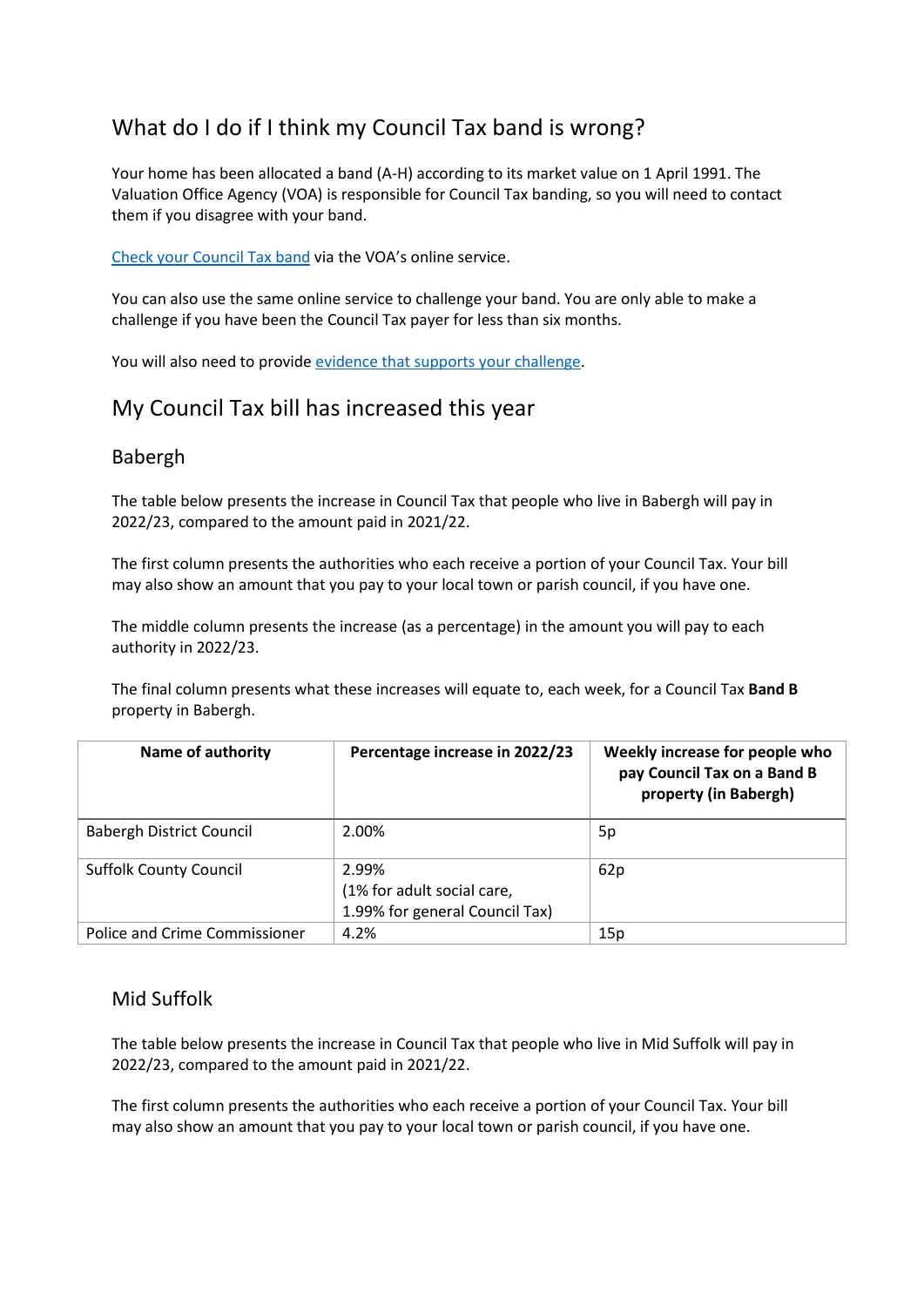## <span id="page-2-0"></span>What do I do if I think my Council Tax band is wrong?

Your home has been allocated a band (A-H) according to its market value on 1 April 1991. The Valuation Office Agency (VOA) is responsible for Council Tax banding, so you will need to contact them if you disagree with your band.

[Check your Council Tax band](https://www.gov.uk/council-tax-bands) via the VOA's online service.

You can also use the same online service to challenge your band. You are only able to make a challenge if you have been the Council Tax payer for less than six months.

You will also need to provide [evidence that supports your challenge.](https://www.gov.uk/challenge-council-tax-band/evidence-supports-your-challenge)

## <span id="page-2-1"></span>My Council Tax bill has increased this year

### Babergh

The table below presents the increase in Council Tax that people who live in Babergh will pay in 2022/23, compared to the amount paid in 2021/22.

The first column presents the authorities who each receive a portion of your Council Tax. Your bill may also show an amount that you pay to your local town or parish council, if you have one.

The middle column presents the increase (as a percentage) in the amount you will pay to each authority in 2022/23.

The final column presents what these increases will equate to, each week, for a Council Tax **Band B** property in Babergh.

| <b>Name of authority</b>        | Percentage increase in 2022/23                                        | Weekly increase for people who<br>pay Council Tax on a Band B<br>property (in Babergh) |
|---------------------------------|-----------------------------------------------------------------------|----------------------------------------------------------------------------------------|
| <b>Babergh District Council</b> | 2.00%                                                                 | 5p                                                                                     |
| <b>Suffolk County Council</b>   | 2.99%<br>(1% for adult social care,<br>1.99% for general Council Tax) | 62p                                                                                    |
| Police and Crime Commissioner   | 4.2%                                                                  | 15p                                                                                    |

### Mid Suffolk

The table below presents the increase in Council Tax that people who live in Mid Suffolk will pay in 2022/23, compared to the amount paid in 2021/22.

The first column presents the authorities who each receive a portion of your Council Tax. Your bill may also show an amount that you pay to your local town or parish council, if you have one.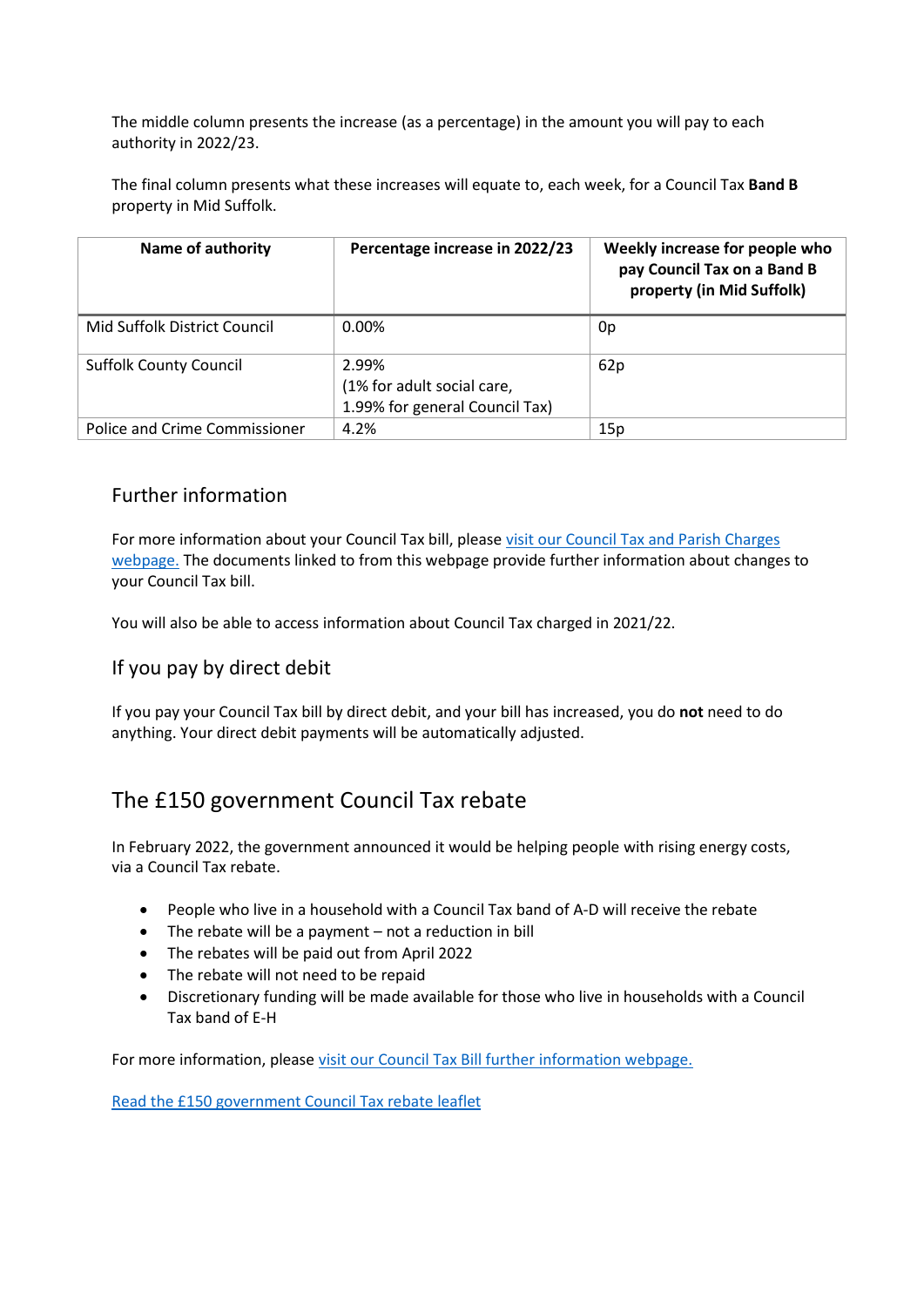The middle column presents the increase (as a percentage) in the amount you will pay to each authority in 2022/23.

The final column presents what these increases will equate to, each week, for a Council Tax **Band B** property in Mid Suffolk.

| <b>Name of authority</b>      | Percentage increase in 2022/23                                        | Weekly increase for people who<br>pay Council Tax on a Band B<br>property (in Mid Suffolk) |
|-------------------------------|-----------------------------------------------------------------------|--------------------------------------------------------------------------------------------|
| Mid Suffolk District Council  | $0.00\%$                                                              | 0p                                                                                         |
| <b>Suffolk County Council</b> | 2.99%<br>(1% for adult social care,<br>1.99% for general Council Tax) | 62p                                                                                        |
| Police and Crime Commissioner | 4.2%                                                                  | 15p                                                                                        |

### Further information

For more information about your Council Tax bill, please [visit our Council Tax and Parish Charges](https://www.midsuffolk.gov.uk/council-tax/council-tax-and-parish-charges/) [webpage.](https://www.midsuffolk.gov.uk/council-tax/council-tax-and-parish-charges/) The documents linked to from this webpage provide further information about changes to your Council Tax bill.

You will also be able to access information about Council Tax charged in 2021/22.

### If you pay by direct debit

If you pay your Council Tax bill by direct debit, and your bill has increased, you do **not** need to do anything. Your direct debit payments will be automatically adjusted.

## <span id="page-3-0"></span>The £150 government Council Tax rebate

In February 2022, the government announced it would be helping people with rising energy costs, via a Council Tax rebate.

- People who live in a household with a Council Tax band of A-D will receive the rebate
- The rebate will be a payment not a reduction in bill
- The rebates will be paid out from April 2022
- The rebate will not need to be repaid
- Discretionary funding will be made available for those who live in households with a Council Tax band of E-H

For more information, please [visit our Council Tax Bill further information webpage.](https://www.midsuffolk.gov.uk/council-tax/council-tax-and-parish-charges/council-tax-online-bill/)

<span id="page-3-1"></span>[Read the £150 government Council Tax rebate leaflet](https://www.midsuffolk.gov.uk/assets/Council-Tax/2022-23/Council-Tax-Rebate-Flier.pdf)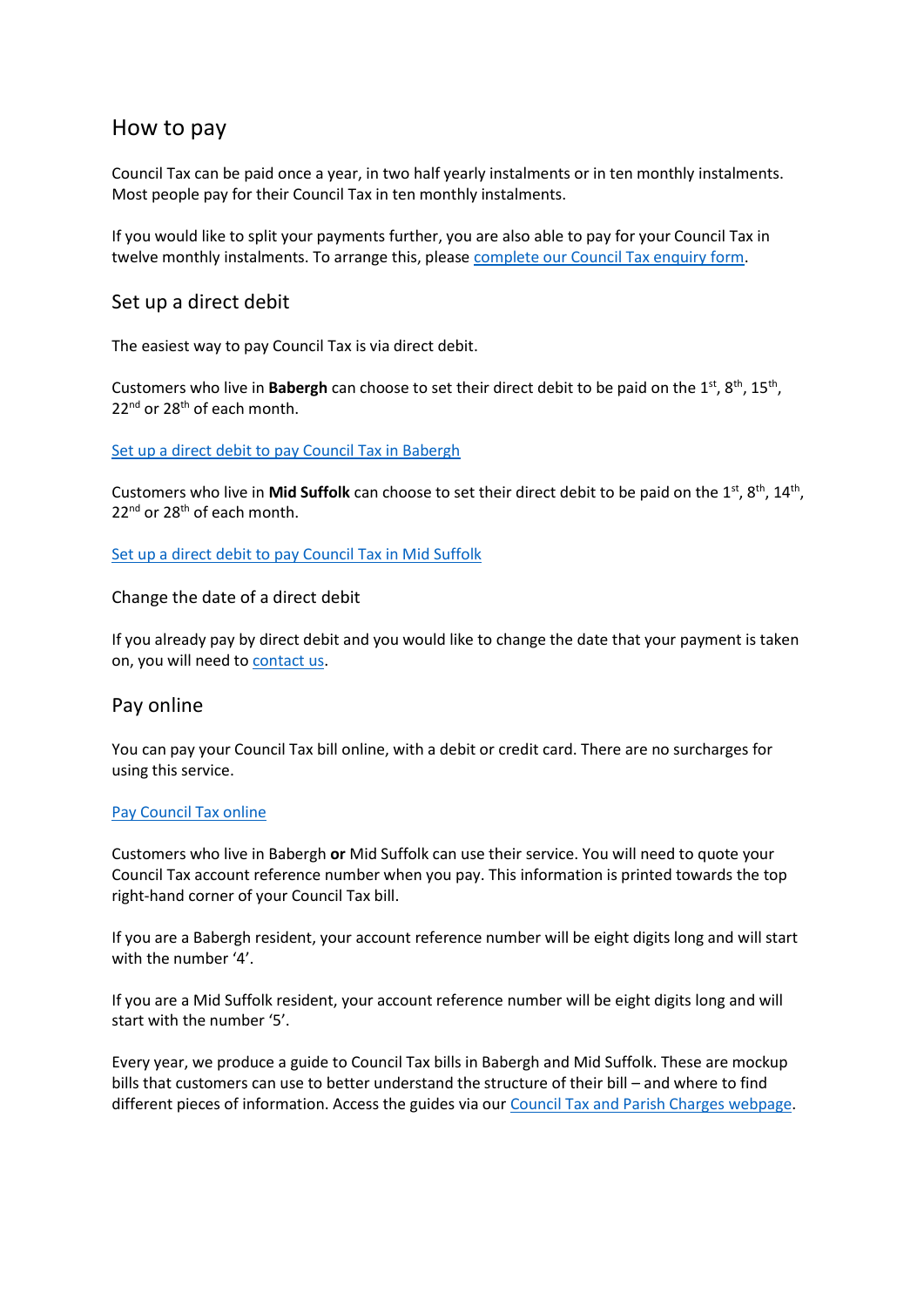## How to pay

Council Tax can be paid once a year, in two half yearly instalments or in ten monthly instalments. Most people pay for their Council Tax in ten monthly instalments.

If you would like to split your payments further, you are also able to pay for your Council Tax in twelve monthly instalments. To arrange this, please [complete our Council Tax enquiry form.](https://srp-online.victoriaforms.com/Viewer-VicForms.asp?user=anon&Form=Council%20Tax%20Enquiry%20Form%20(1.0).wdf)

#### <span id="page-4-0"></span>Set up a direct debit

The easiest way to pay Council Tax is via direct debit.

Customers who live in **Babergh** can choose to set their direct debit to be paid on the 1<sup>st</sup>, 8<sup>th</sup>, 15<sup>th</sup>, 22<sup>nd</sup> or 28<sup>th</sup> of each month.

#### [Set up a direct debit to pay Council Tax in Babergh](https://espws.necsws.com/ords/pwslive/call_initial_apex_page.nes_selfsrv?service=CAR&la=BAB&language=ENG&options=CT)

Customers who live in Mid Suffolk can choose to set their direct debit to be paid on the 1<sup>st</sup>, 8<sup>th</sup>, 14<sup>th</sup>, 22<sup>nd</sup> or 28<sup>th</sup> of each month.

[Set up a direct debit to pay Council Tax in Mid Suffolk](https://espws.necsws.com/ords/pwslive/call_initial_apex_page.nes_selfsrv?service=CAR&la=MSUF&language=ENG&options=CT)

<span id="page-4-1"></span>Change the date of a direct debit

If you already pay by direct debit and you would like to change the date that your payment is taken on, you will need t[o contact us.](https://www.midsuffolk.gov.uk/contact-us)

### <span id="page-4-2"></span>Pay online

You can pay your Council Tax bill online, with a debit or credit card. There are no surcharges for using this service.

#### [Pay Council Tax online](https://babergh-self.achieveservice.com/service/Council_Tax)

Customers who live in Babergh **or** Mid Suffolk can use their service. You will need to quote your Council Tax account reference number when you pay. This information is printed towards the top right-hand corner of your Council Tax bill.

If you are a Babergh resident, your account reference number will be eight digits long and will start with the number '4'.

If you are a Mid Suffolk resident, your account reference number will be eight digits long and will start with the number '5'.

<span id="page-4-3"></span>Every year, we produce a guide to Council Tax bills in Babergh and Mid Suffolk. These are mockup bills that customers can use to better understand the structure of their bill – and where to find different pieces of information. Access the guides via our [Council Tax and Parish Charges webpage.](https://www.midsuffolk.gov.uk/council-tax/council-tax-and-parish-charges/)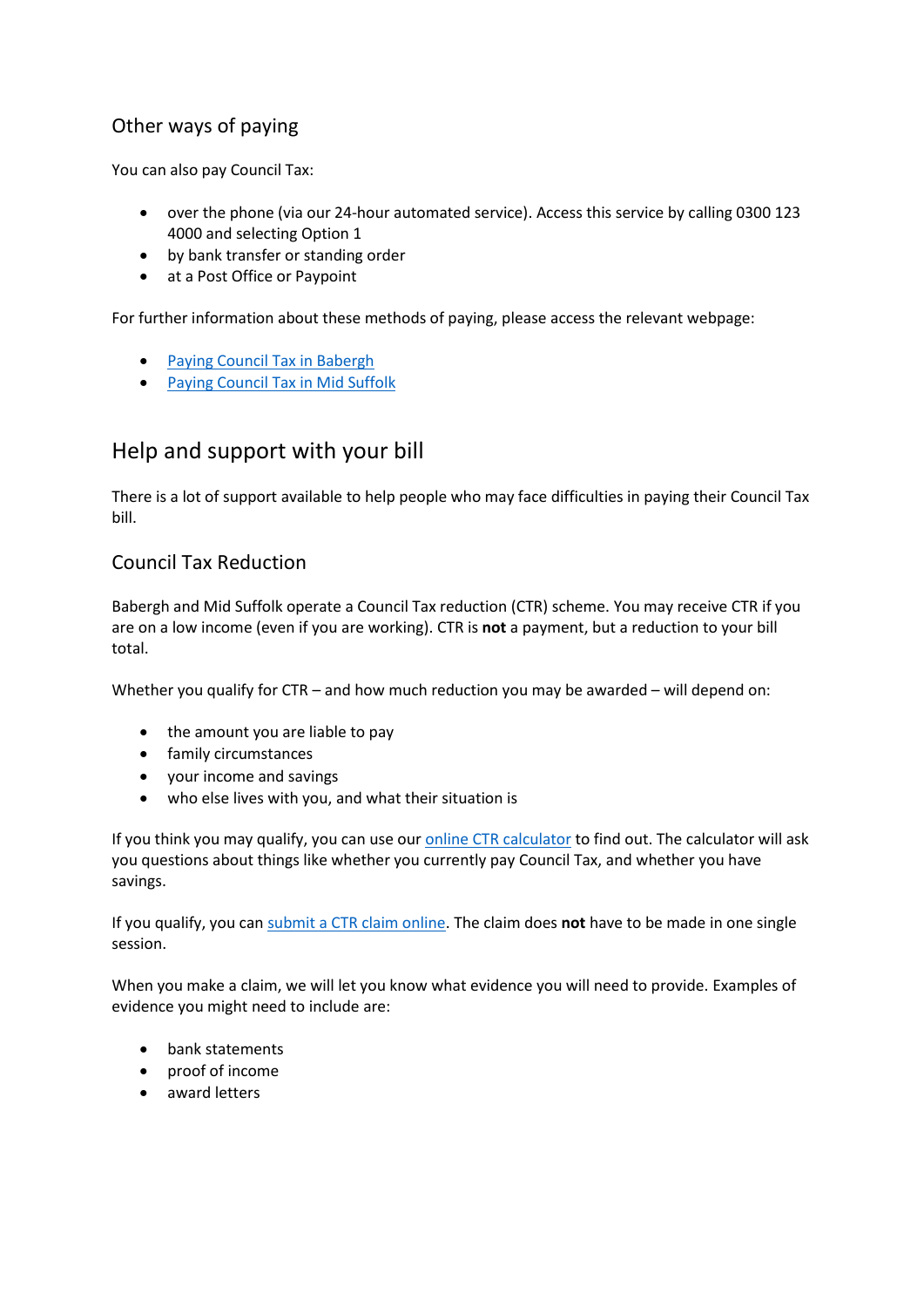## Other ways of paying

You can also pay Council Tax:

- over the phone (via our 24-hour automated service). Access this service by calling 0300 123 4000 and selecting Option 1
- by bank transfer or standing order
- at a Post Office or Paypoint

For further information about these methods of paying, please access the relevant webpage:

- [Paying Council Tax in Babergh](https://www.babergh.gov.uk/council-tax/paying-council-tax/paying-council-tax-in-babergh/)
- [Paying Council Tax in Mid Suffolk](https://www.babergh.gov.uk/council-tax/paying-council-tax/paying-council-tax-in-mid-suffolk/)

## <span id="page-5-0"></span>Help and support with your bill

There is a lot of support available to help people who may face difficulties in paying their Council Tax bill.

### <span id="page-5-1"></span>Council Tax Reduction

Babergh and Mid Suffolk operate a Council Tax reduction (CTR) scheme. You may receive CTR if you are on a low income (even if you are working). CTR is **not** a payment, but a reduction to your bill total.

Whether you qualify for CTR – and how much reduction you may be awarded – will depend on:

- the amount you are liable to pay
- family circumstances
- your income and savings
- who else lives with you, and what their situation is

If you think you may qualify, you can use our [online CTR calculator](https://srp-online.victoriaforms.com/Viewer-VicForms.asp?user=anon&Form=HB-CTR%20Calculator%201.0.wdf) to find out. The calculator will ask you questions about things like whether you currently pay Council Tax, and whether you have savings.

If you qualify, you can [submit a CTR claim online.](https://srp-online.victoriaforms.com/Viewer-VicForms.asp?user=anon&Form=HBCTR%20Application%20Form%20(1.1).wdf) The claim does **not** have to be made in one single session.

When you make a claim, we will let you know what evidence you will need to provide. Examples of evidence you might need to include are:

- bank statements
- proof of income
- <span id="page-5-2"></span>• award letters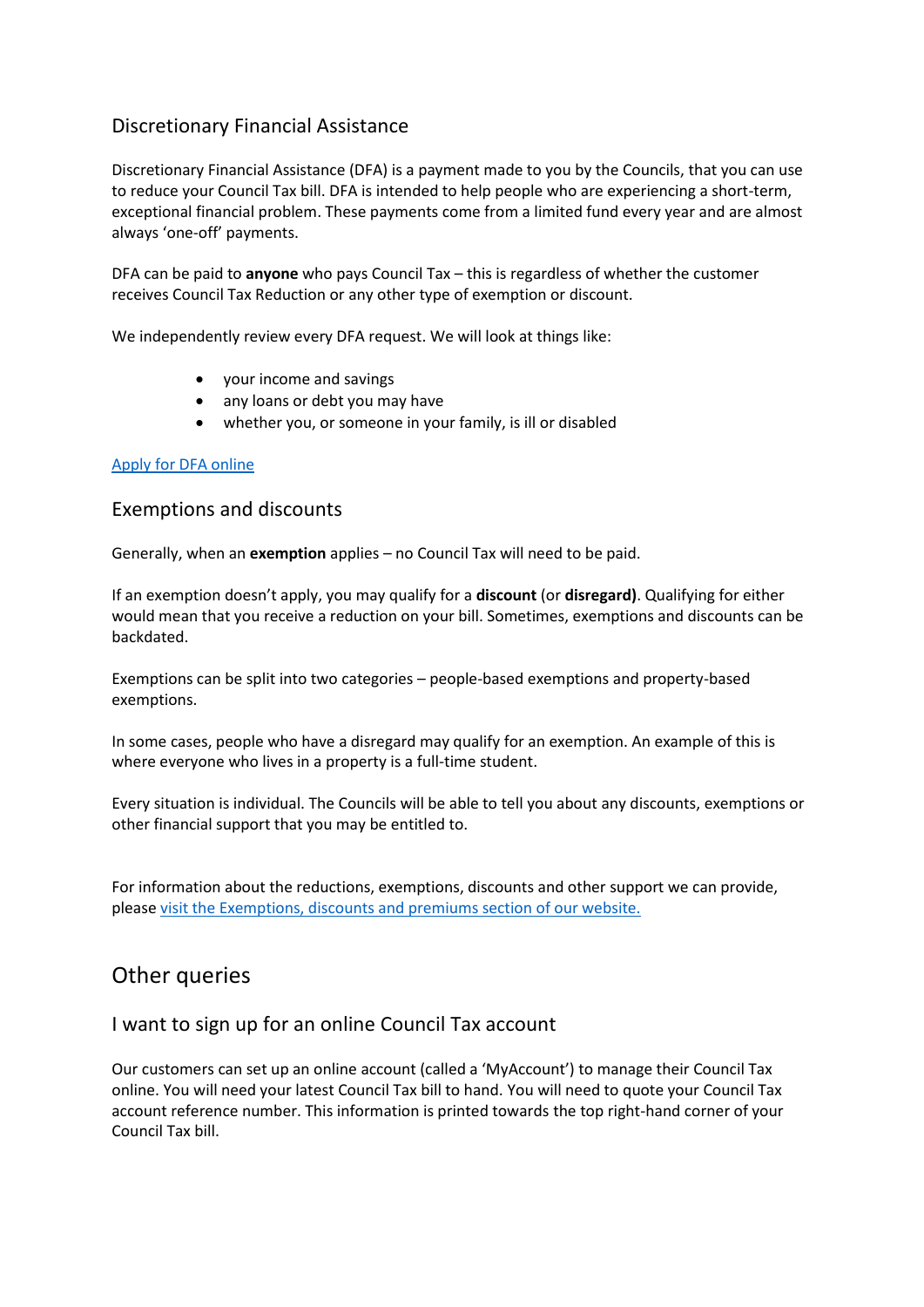### Discretionary Financial Assistance

Discretionary Financial Assistance (DFA) is a payment made to you by the Councils, that you can use to reduce your Council Tax bill. DFA is intended to help people who are experiencing a short-term, exceptional financial problem. These payments come from a limited fund every year and are almost always 'one-off' payments.

DFA can be paid to **anyone** who pays Council Tax – this is regardless of whether the customer receives Council Tax Reduction or any other type of exemption or discount.

We independently review every DFA request. We will look at things like:

- your income and savings
- any loans or debt you may have
- whether you, or someone in your family, is ill or disabled

#### [Apply for DFA online](https://srp-online.victoriaforms.com/Viewer-VicForms.asp?user=anon&Form=Application%20for%20DFA%20(1.0).wdf)

#### <span id="page-6-0"></span>Exemptions and discounts

Generally, when an **exemption** applies – no Council Tax will need to be paid.

If an exemption doesn't apply, you may qualify for a **discount** (or **disregard)**. Qualifying for either would mean that you receive a reduction on your bill. Sometimes, exemptions and discounts can be backdated.

Exemptions can be split into two categories – people-based exemptions and property-based exemptions.

In some cases, people who have a disregard may qualify for an exemption. An example of this is where everyone who lives in a property is a full-time student.

Every situation is individual. The Councils will be able to tell you about any discounts, exemptions or other financial support that you may be entitled to.

For information about the reductions, exemptions, discounts and other support we can provide, please [visit the Exemptions, discounts and premiums section of our website.](https://www.midsuffolk.gov.uk/council-tax/exemptions-discounts-and-reductions/)

## <span id="page-6-1"></span>Other queries

### <span id="page-6-2"></span>I want to sign up for an online Council Tax account

Our customers can set up an online account (called a 'MyAccount') to manage their Council Tax online. You will need your latest Council Tax bill to hand. You will need to quote your Council Tax account reference number. This information is printed towards the top right-hand corner of your Council Tax bill.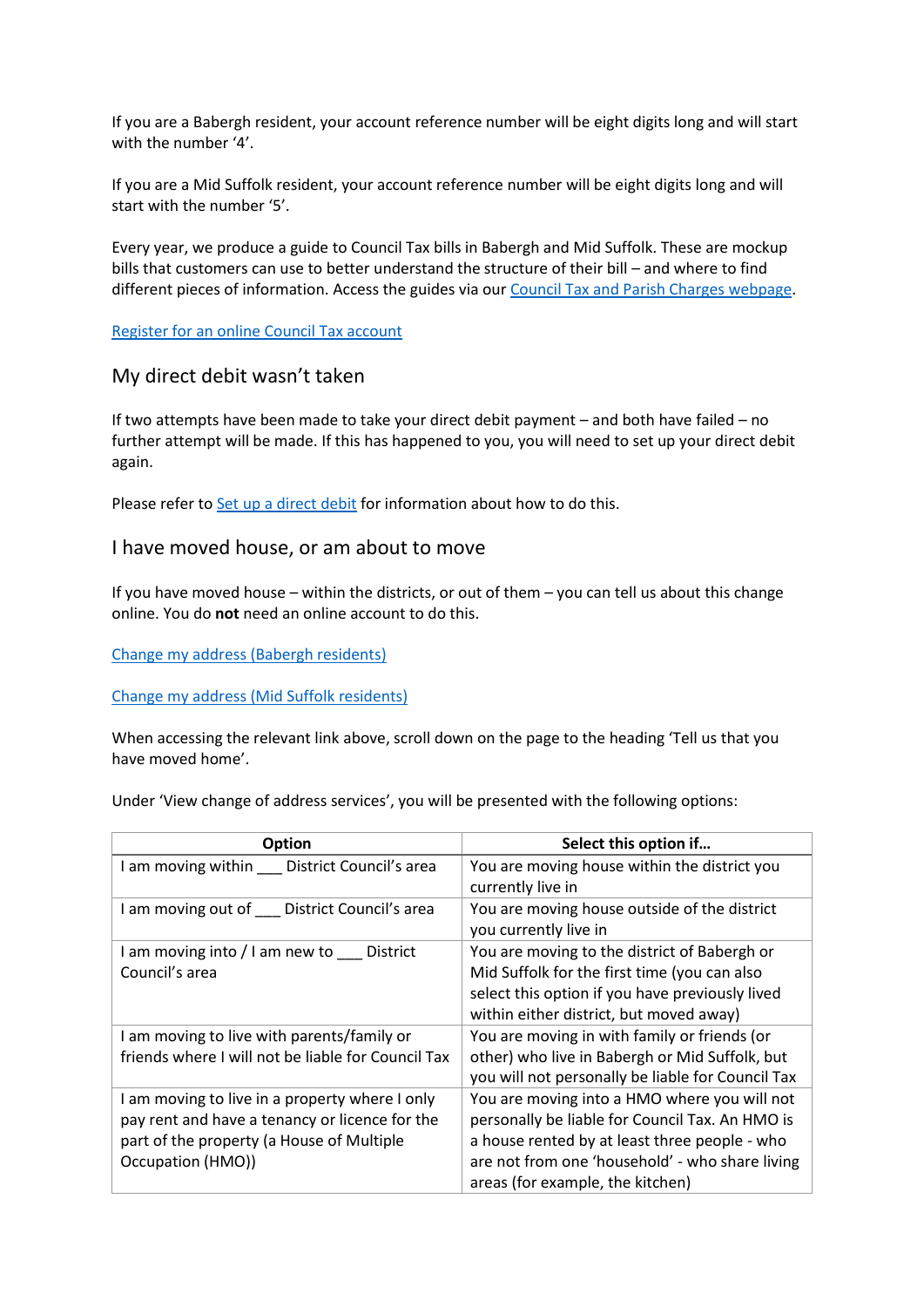If you are a Babergh resident, your account reference number will be eight digits long and will start with the number '4'.

If you are a Mid Suffolk resident, your account reference number will be eight digits long and will start with the number '5'.

Every year, we produce a guide to Council Tax bills in Babergh and Mid Suffolk. These are mockup bills that customers can use to better understand the structure of their bill – and where to find different pieces of information. Access the guides via our [Council Tax and Parish Charges webpage.](https://www.midsuffolk.gov.uk/council-tax/council-tax-and-parish-charges/)

[Register for an online Council Tax account](https://www.midsuffolk.gov.uk/council-tax/access-my-account/)

#### <span id="page-7-0"></span>My direct debit wasn't taken

If two attempts have been made to take your direct debit payment – and both have failed – no further attempt will be made. If this has happened to you, you will need to set up your direct debit again.

Please refer to **Set up a direct debit for information about how to do this.** 

#### <span id="page-7-1"></span>I have moved house, or am about to move

If you have moved house – within the districts, or out of them – you can tell us about this change online. You do **not** need an online account to do this.

[Change my address \(Babergh residents\)](https://espws.necsws.com/ords/pwslive/call_initial_apex_page.nes_selfsrv?service=CAR&la=BAB&language=ENG&options=CT)

[Change my address \(Mid Suffolk residents\)](https://espws.necsws.com/ords/pwslive/call_initial_apex_page.nes_selfsrv?service=CAR&la=MSUF&language=ENG&options=CT)

When accessing the relevant link above, scroll down on the page to the heading 'Tell us that you have moved home'.

Under 'View change of address services', you will be presented with the following options:

| <b>Option</b>                                                                                                                                                      | Select this option if                                                                                                                                                                                                                   |
|--------------------------------------------------------------------------------------------------------------------------------------------------------------------|-----------------------------------------------------------------------------------------------------------------------------------------------------------------------------------------------------------------------------------------|
| am moving within District Council's area                                                                                                                           | You are moving house within the district you<br>currently live in                                                                                                                                                                       |
| I am moving out of District Council's area                                                                                                                         | You are moving house outside of the district<br>you currently live in                                                                                                                                                                   |
| am moving into / I am new to District<br>Council's area                                                                                                            | You are moving to the district of Babergh or<br>Mid Suffolk for the first time (you can also<br>select this option if you have previously lived<br>within either district, but moved away)                                              |
| am moving to live with parents/family or<br>friends where I will not be liable for Council Tax                                                                     | You are moving in with family or friends (or<br>other) who live in Babergh or Mid Suffolk, but<br>you will not personally be liable for Council Tax                                                                                     |
| I am moving to live in a property where I only<br>pay rent and have a tenancy or licence for the<br>part of the property (a House of Multiple<br>Occupation (HMO)) | You are moving into a HMO where you will not<br>personally be liable for Council Tax. An HMO is<br>a house rented by at least three people - who<br>are not from one 'household' - who share living<br>areas (for example, the kitchen) |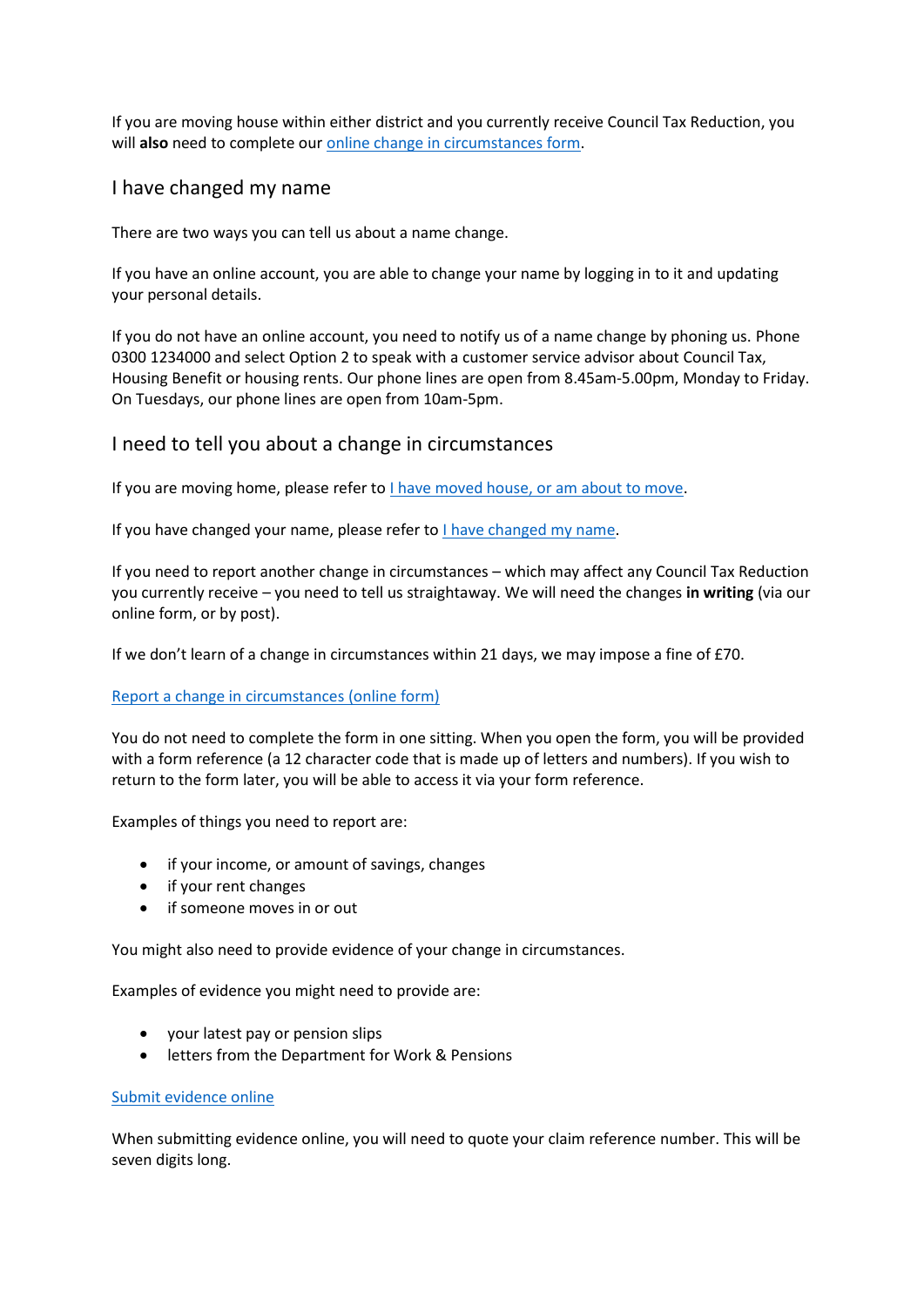If you are moving house within either district and you currently receive Council Tax Reduction, you will also need to complete our **online** change in circumstances form.

### <span id="page-8-0"></span>I have changed my name

There are two ways you can tell us about a name change.

If you have an online account, you are able to change your name by logging in to it and updating your personal details.

If you do not have an online account, you need to notify us of a name change by phoning us. Phone 0300 1234000 and select Option 2 to speak with a customer service advisor about Council Tax, Housing Benefit or housing rents. Our phone lines are open from 8.45am-5.00pm, Monday to Friday. On Tuesdays, our phone lines are open from 10am-5pm.

### <span id="page-8-1"></span>I need to tell you about a change in circumstances

If you are moving home, please refer to [I have moved house, or am about to move.](#page-7-1)

If you have changed your name, please refer to [I have changed my name.](#page-8-0)

If you need to report another change in circumstances – which may affect any Council Tax Reduction you currently receive – you need to tell us straightaway. We will need the changes **in writing** (via our online form, or by post).

If we don't learn of a change in circumstances within 21 days, we may impose a fine of £70.

#### [Report a change in circumstances \(online form\)](https://srp-online.victoriaforms.com/Viewer-VicForms.asp?user=anon&Form=HBCTR%20Change%20in%20Circumstances%20(1.0).wdf)

You do not need to complete the form in one sitting. When you open the form, you will be provided with a form reference (a 12 character code that is made up of letters and numbers). If you wish to return to the form later, you will be able to access it via your form reference.

Examples of things you need to report are:

- if your income, or amount of savings, changes
- if your rent changes
- if someone moves in or out

You might also need to provide evidence of your change in circumstances.

Examples of evidence you might need to provide are:

- your latest pay or pension slips
- letters from the Department for Work & Pensions

#### [Submit evidence online](https://srp-online.victoriaforms.com/Viewer-VicForms.asp?user=anon&Form=Evidence%20Attachment%20Form%20(1.0).wdf)

When submitting evidence online, you will need to quote your claim reference number. This will be seven digits long.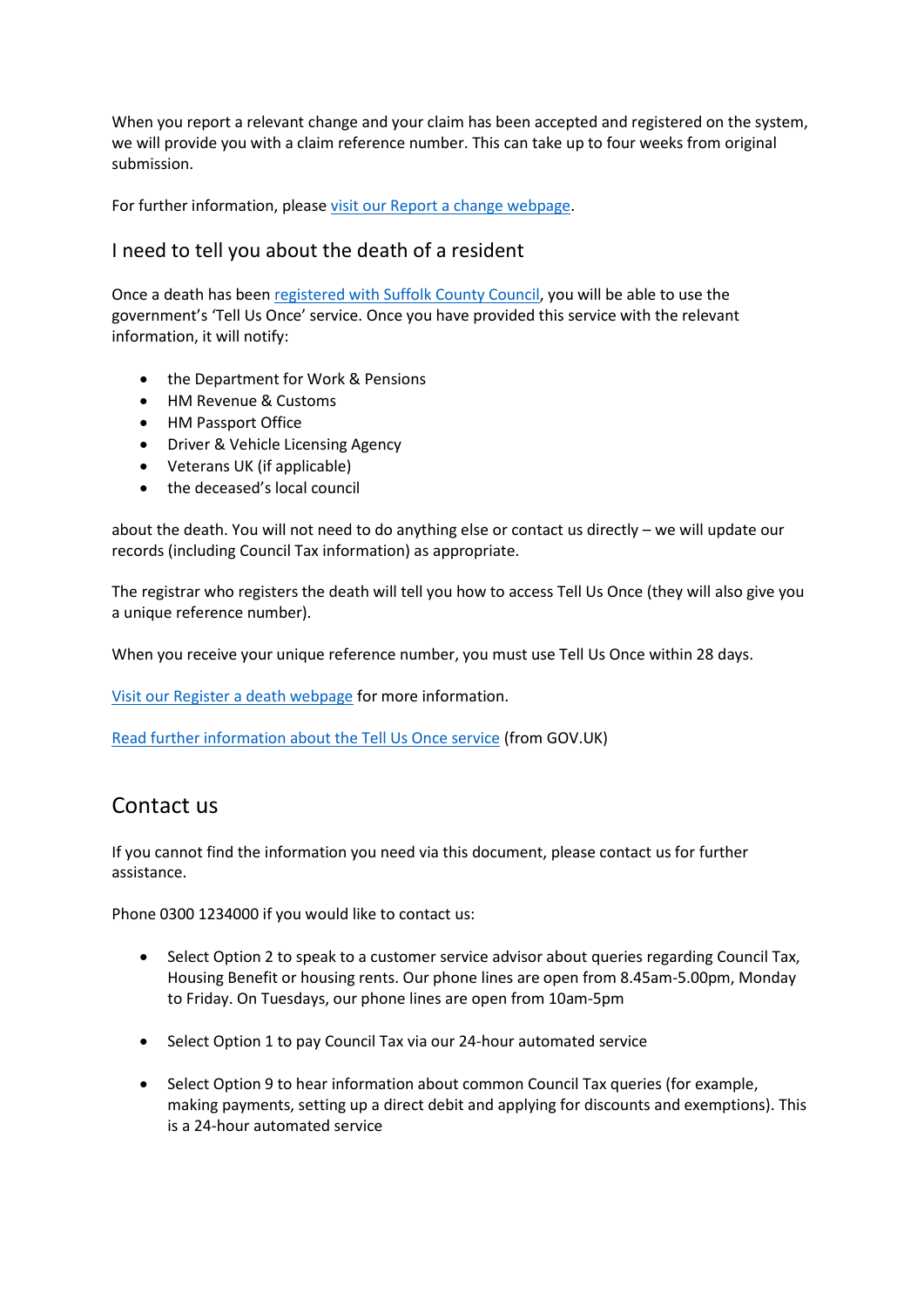When you report a relevant change and your claim has been accepted and registered on the system, we will provide you with a claim reference number. This can take up to four weeks from original submission.

For further information, please [visit our Report a change webpage.](https://www.midsuffolk.gov.uk/benefits/report-a-change/)

## <span id="page-9-0"></span>I need to tell you about the death of a resident

Once a death has bee[n registered with Suffolk County Council,](https://www.suffolk.gov.uk/births-deaths-and-ceremonies/how-to-register-a-death/) you will be able to use the government's 'Tell Us Once' service. Once you have provided this service with the relevant information, it will notify:

- the Department for Work & Pensions
- HM Revenue & Customs
- HM Passport Office
- Driver & Vehicle Licensing Agency
- Veterans UK (if applicable)
- the deceased's local council

about the death. You will not need to do anything else or contact us directly – we will update our records (including Council Tax information) as appropriate.

The registrar who registers the death will tell you how to access Tell Us Once (they will also give you a unique reference number).

When you receive your unique reference number, you must use Tell Us Once within 28 days.

[Visit our Register a death webpage](https://www.midsuffolk.gov.uk/register-a-death/) for more information.

[Read further information about the Tell Us Once service](https://www.gov.uk/after-a-death/organisations-you-need-to-contact-and-tell-us-once) (from GOV.UK)

## <span id="page-9-1"></span>Contact us

If you cannot find the information you need via this document, please contact us for further assistance.

Phone 0300 1234000 if you would like to contact us:

- Select Option 2 to speak to a customer service advisor about queries regarding Council Tax, Housing Benefit or housing rents. Our phone lines are open from 8.45am-5.00pm, Monday to Friday. On Tuesdays, our phone lines are open from 10am-5pm
- Select Option 1 to pay Council Tax via our 24-hour automated service
- Select Option 9 to hear information about common Council Tax queries (for example, making payments, setting up a direct debit and applying for discounts and exemptions). This is a 24-hour automated service